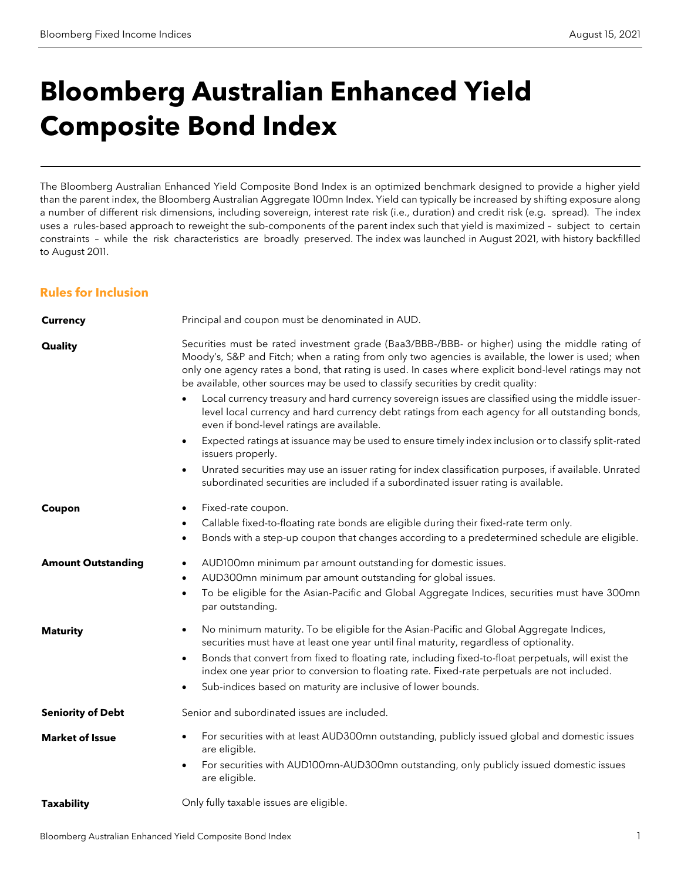# **Bloomberg Australian Enhanced Yield Composite Bond Index**

The Bloomberg Australian Enhanced Yield Composite Bond Index is an optimized benchmark designed to provide a higher yield than the parent index, the Bloomberg Australian Aggregate 100mn Index. Yield can typically be increased by shifting exposure along a number of different risk dimensions, including sovereign, interest rate risk (i.e., duration) and credit risk (e.g. spread). The index uses a rules-based approach to reweight the sub-components of the parent index such that yield is maximized – subject to certain constraints – while the risk characteristics are broadly preserved. The index was launched in August 2021, with history backfilled to August 2011.

# **Rules for Inclusion**

| <b>Currency</b>           | Principal and coupon must be denominated in AUD.                                                                                                                                                                                                                                                                                                                                                                                                                                    |
|---------------------------|-------------------------------------------------------------------------------------------------------------------------------------------------------------------------------------------------------------------------------------------------------------------------------------------------------------------------------------------------------------------------------------------------------------------------------------------------------------------------------------|
| <b>Quality</b>            | Securities must be rated investment grade (Baa3/BBB-/BBB- or higher) using the middle rating of<br>Moody's, S&P and Fitch; when a rating from only two agencies is available, the lower is used; when<br>only one agency rates a bond, that rating is used. In cases where explicit bond-level ratings may not<br>be available, other sources may be used to classify securities by credit quality:                                                                                 |
|                           | Local currency treasury and hard currency sovereign issues are classified using the middle issuer-<br>level local currency and hard currency debt ratings from each agency for all outstanding bonds,<br>even if bond-level ratings are available.                                                                                                                                                                                                                                  |
|                           | Expected ratings at issuance may be used to ensure timely index inclusion or to classify split-rated<br>$\bullet$<br>issuers properly.                                                                                                                                                                                                                                                                                                                                              |
|                           | Unrated securities may use an issuer rating for index classification purposes, if available. Unrated<br>$\bullet$<br>subordinated securities are included if a subordinated issuer rating is available.                                                                                                                                                                                                                                                                             |
| Coupon                    | Fixed-rate coupon.<br>Callable fixed-to-floating rate bonds are eligible during their fixed-rate term only.<br>$\bullet$<br>Bonds with a step-up coupon that changes according to a predetermined schedule are eligible.<br>$\bullet$                                                                                                                                                                                                                                               |
| <b>Amount Outstanding</b> | AUD100mn minimum par amount outstanding for domestic issues.<br>$\bullet$<br>AUD300mn minimum par amount outstanding for global issues.<br>$\bullet$<br>To be eligible for the Asian-Pacific and Global Aggregate Indices, securities must have 300mn<br>$\bullet$<br>par outstanding.                                                                                                                                                                                              |
| <b>Maturity</b>           | No minimum maturity. To be eligible for the Asian-Pacific and Global Aggregate Indices,<br>$\bullet$<br>securities must have at least one year until final maturity, regardless of optionality.<br>Bonds that convert from fixed to floating rate, including fixed-to-float perpetuals, will exist the<br>$\bullet$<br>index one year prior to conversion to floating rate. Fixed-rate perpetuals are not included.<br>Sub-indices based on maturity are inclusive of lower bounds. |
| <b>Seniority of Debt</b>  | Senior and subordinated issues are included.                                                                                                                                                                                                                                                                                                                                                                                                                                        |
| <b>Market of Issue</b>    | For securities with at least AUD300mn outstanding, publicly issued global and domestic issues<br>are eligible.<br>For securities with AUD100mn-AUD300mn outstanding, only publicly issued domestic issues<br>$\bullet$<br>are eligible.                                                                                                                                                                                                                                             |
| <b>Taxability</b>         | Only fully taxable issues are eligible.                                                                                                                                                                                                                                                                                                                                                                                                                                             |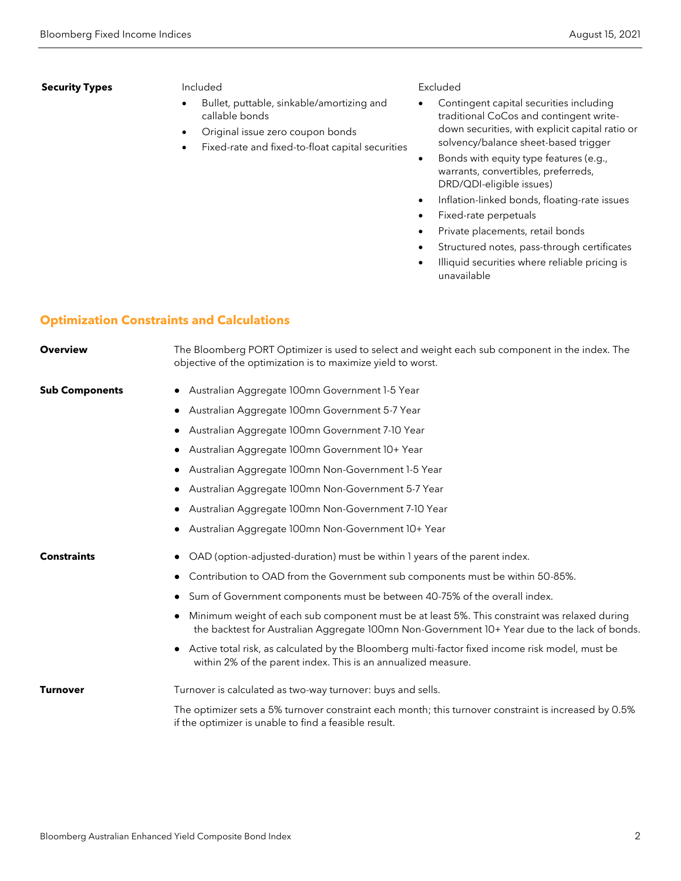### **Security Types** Included

- Bullet, puttable, sinkable/amortizing and callable bonds
- Original issue zero coupon bonds
- Fixed-rate and fixed-to-float capital securities

#### Excluded

- Contingent capital securities including traditional CoCos and contingent writedown securities, with explicit capital ratio or solvency/balance sheet-based trigger
- Bonds with equity type features (e.g., warrants, convertibles, preferreds, DRD/QDI-eligible issues)
- Inflation-linked bonds, floating-rate issues
- Fixed-rate perpetuals
- Private placements, retail bonds
- Structured notes, pass-through certificates
- Illiquid securities where reliable pricing is unavailable

# **Optimization Constraints and Calculations**

| <b>Overview</b>       | The Bloomberg PORT Optimizer is used to select and weight each sub component in the index. The<br>objective of the optimization is to maximize yield to worst.                                |
|-----------------------|-----------------------------------------------------------------------------------------------------------------------------------------------------------------------------------------------|
| <b>Sub Components</b> | • Australian Aggregate 100mn Government 1-5 Year                                                                                                                                              |
|                       | Australian Aggregate 100mn Government 5-7 Year                                                                                                                                                |
|                       | Australian Aggregate 100mn Government 7-10 Year                                                                                                                                               |
|                       | Australian Aggregate 100mn Government 10+ Year<br>$\bullet$                                                                                                                                   |
|                       | Australian Aggregate 100mn Non-Government 1-5 Year                                                                                                                                            |
|                       | Australian Aggregate 100mn Non-Government 5-7 Year                                                                                                                                            |
|                       | Australian Aggregate 100mn Non-Government 7-10 Year                                                                                                                                           |
|                       | Australian Aggregate 100mn Non-Government 10+ Year                                                                                                                                            |
| <b>Constraints</b>    | OAD (option-adjusted-duration) must be within I years of the parent index.                                                                                                                    |
|                       | Contribution to OAD from the Government sub components must be within 50-85%.                                                                                                                 |
|                       | Sum of Government components must be between 40-75% of the overall index.<br>$\bullet$                                                                                                        |
|                       | Minimum weight of each sub component must be at least 5%. This constraint was relaxed during<br>the backtest for Australian Aggregate 100mn Non-Government 10+ Year due to the lack of bonds. |
|                       | Active total risk, as calculated by the Bloomberg multi-factor fixed income risk model, must be<br>within 2% of the parent index. This is an annualized measure.                              |
| <b>Turnover</b>       | Turnover is calculated as two-way turnover: buys and sells.                                                                                                                                   |
|                       | The optimizer sets a 5% turnover constraint each month; this turnover constraint is increased by 0.5%<br>if the optimizer is unable to find a feasible result.                                |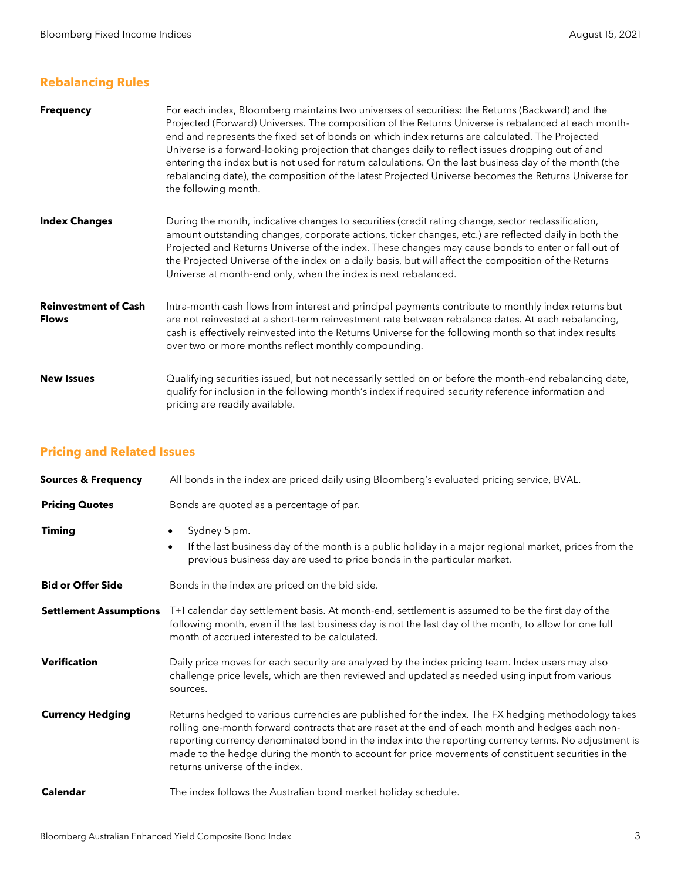# **Rebalancing Rules**

| <b>Frequency</b>                            | For each index, Bloomberg maintains two universes of securities: the Returns (Backward) and the<br>Projected (Forward) Universes. The composition of the Returns Universe is rebalanced at each month-<br>end and represents the fixed set of bonds on which index returns are calculated. The Projected<br>Universe is a forward-looking projection that changes daily to reflect issues dropping out of and<br>entering the index but is not used for return calculations. On the last business day of the month (the<br>rebalancing date), the composition of the latest Projected Universe becomes the Returns Universe for<br>the following month. |
|---------------------------------------------|---------------------------------------------------------------------------------------------------------------------------------------------------------------------------------------------------------------------------------------------------------------------------------------------------------------------------------------------------------------------------------------------------------------------------------------------------------------------------------------------------------------------------------------------------------------------------------------------------------------------------------------------------------|
| <b>Index Changes</b>                        | During the month, indicative changes to securities (credit rating change, sector reclassification,<br>amount outstanding changes, corporate actions, ticker changes, etc.) are reflected daily in both the<br>Projected and Returns Universe of the index. These changes may cause bonds to enter or fall out of<br>the Projected Universe of the index on a daily basis, but will affect the composition of the Returns<br>Universe at month-end only, when the index is next rebalanced.                                                                                                                                                              |
| <b>Reinvestment of Cash</b><br><b>Flows</b> | Intra-month cash flows from interest and principal payments contribute to monthly index returns but<br>are not reinvested at a short-term reinvestment rate between rebalance dates. At each rebalancing,<br>cash is effectively reinvested into the Returns Universe for the following month so that index results<br>over two or more months reflect monthly compounding.                                                                                                                                                                                                                                                                             |
| <b>New Issues</b>                           | Qualifying securities issued, but not necessarily settled on or before the month-end rebalancing date,<br>qualify for inclusion in the following month's index if required security reference information and<br>pricing are readily available.                                                                                                                                                                                                                                                                                                                                                                                                         |

# **Pricing and Related Issues**

| <b>Sources &amp; Frequency</b> | All bonds in the index are priced daily using Bloomberg's evaluated pricing service, BVAL.                                                                                                                                                                                                                                                                                                                                                             |
|--------------------------------|--------------------------------------------------------------------------------------------------------------------------------------------------------------------------------------------------------------------------------------------------------------------------------------------------------------------------------------------------------------------------------------------------------------------------------------------------------|
| <b>Pricing Quotes</b>          | Bonds are quoted as a percentage of par.                                                                                                                                                                                                                                                                                                                                                                                                               |
| <b>Timing</b>                  | Sydney 5 pm.<br>$\bullet$<br>If the last business day of the month is a public holiday in a major regional market, prices from the<br>$\bullet$<br>previous business day are used to price bonds in the particular market.                                                                                                                                                                                                                             |
| <b>Bid or Offer Side</b>       | Bonds in the index are priced on the bid side.                                                                                                                                                                                                                                                                                                                                                                                                         |
| <b>Settlement Assumptions</b>  | T+1 calendar day settlement basis. At month-end, settlement is assumed to be the first day of the<br>following month, even if the last business day is not the last day of the month, to allow for one full<br>month of accrued interested to be calculated.                                                                                                                                                                                           |
| <b>Verification</b>            | Daily price moves for each security are analyzed by the index pricing team. Index users may also<br>challenge price levels, which are then reviewed and updated as needed using input from various<br>sources.                                                                                                                                                                                                                                         |
| <b>Currency Hedging</b>        | Returns hedged to various currencies are published for the index. The FX hedging methodology takes<br>rolling one-month forward contracts that are reset at the end of each month and hedges each non-<br>reporting currency denominated bond in the index into the reporting currency terms. No adjustment is<br>made to the hedge during the month to account for price movements of constituent securities in the<br>returns universe of the index. |
| <b>Calendar</b>                | The index follows the Australian bond market holiday schedule.                                                                                                                                                                                                                                                                                                                                                                                         |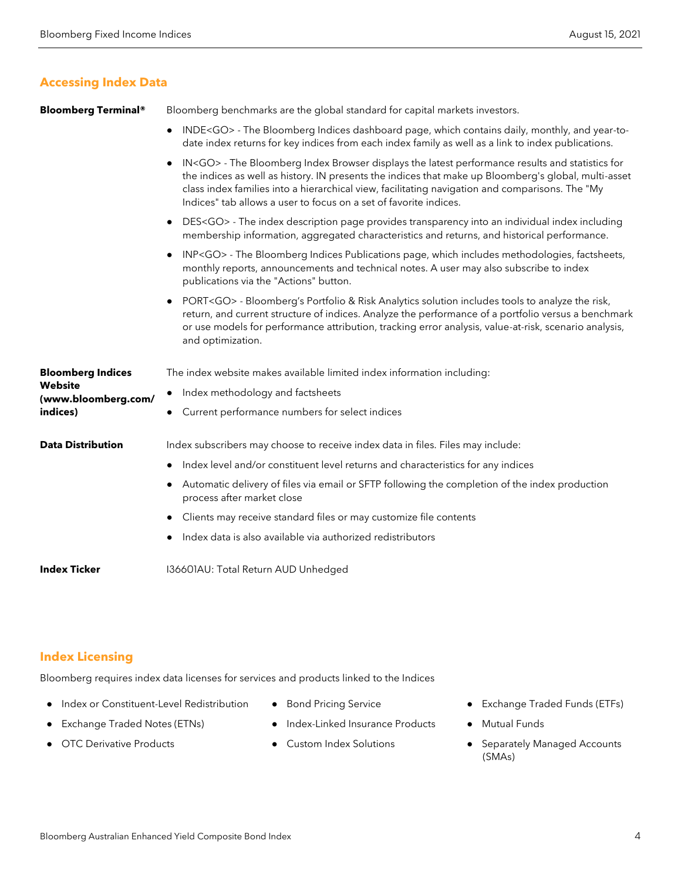# **Accessing Index Data**

**Bloomberg Terminal®** Bloomberg benchmarks are the global standard for capital markets investors.

- INDE<GO> The Bloomberg Indices dashboard page, which contains daily, monthly, and year-todate index returns for key indices from each index family as well as a link to index publications.
- IN<GO> The Bloomberg Index Browser displays the latest performance results and statistics for the indices as well as history. IN presents the indices that make up Bloomberg's global, multi-asset class index families into a hierarchical view, facilitating navigation and comparisons. The "My Indices" tab allows a user to focus on a set of favorite indices.
- DES<GO> The index description page provides transparency into an individual index including membership information, aggregated characteristics and returns, and historical performance.
- INP<GO> The Bloomberg Indices Publications page, which includes methodologies, factsheets, monthly reports, announcements and technical notes. A user may also subscribe to index publications via the "Actions" button.
- PORT<GO> Bloomberg's Portfolio & Risk Analytics solution includes tools to analyze the risk, return, and current structure of indices. Analyze the performance of a portfolio versus a benchmark or use models for performance attribution, tracking error analysis, value-at-risk, scenario analysis, and optimization.

| <b>Bloomberg Indices</b><br>Website<br>(www.bloomberg.com/<br>indices) | The index website makes available limited index information including:                                                       |
|------------------------------------------------------------------------|------------------------------------------------------------------------------------------------------------------------------|
|                                                                        | Index methodology and factsheets                                                                                             |
|                                                                        | • Current performance numbers for select indices                                                                             |
| <b>Data Distribution</b>                                               | Index subscribers may choose to receive index data in files. Files may include:                                              |
|                                                                        | Index level and/or constituent level returns and characteristics for any indices                                             |
|                                                                        | Automatic delivery of files via email or SFTP following the completion of the index production<br>process after market close |
|                                                                        | • Clients may receive standard files or may customize file contents                                                          |
|                                                                        | Index data is also available via authorized redistributors                                                                   |
| <b>Index Ticker</b>                                                    | 136601AU: Total Return AUD Unhedged                                                                                          |

# **Index Licensing**

Bloomberg requires index data licenses for services and products linked to the Indices

- Index or Constituent-Level Redistribution
- Exchange Traded Notes (ETNs)
- **OTC Derivative Products**
- Bond Pricing Service
- Index-Linked Insurance Products
- **Custom Index Solutions**
- Exchange Traded Funds (ETFs)
- **Mutual Funds**
- Separately Managed Accounts (SMAs)